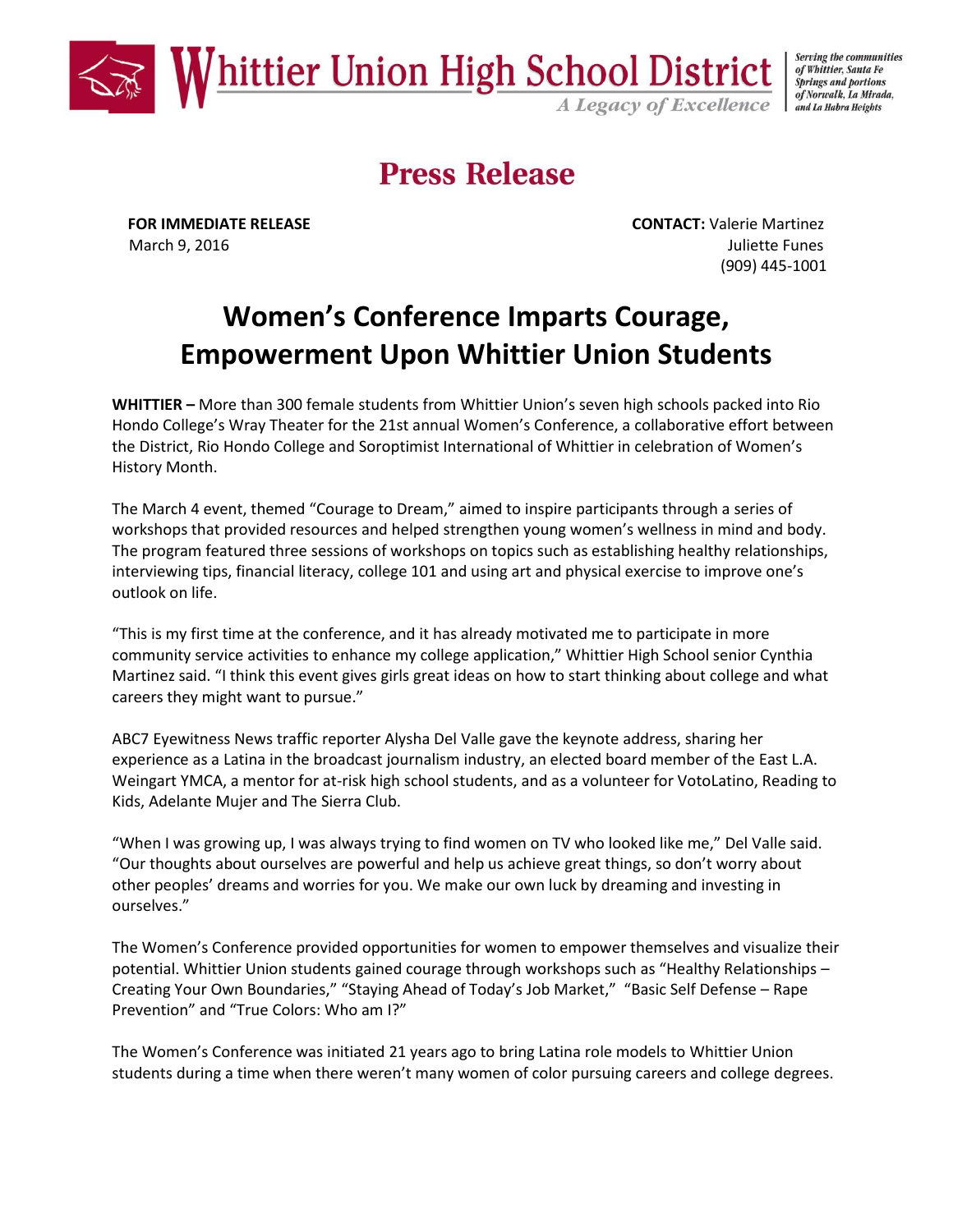

Serving the communities of Whittier, Santa Fe **Springs and portions** of Norwalk, La Mirada, and La Habra Heights

# **Press Release**

**FOR IMMEDIATE RELEASE CONTACT:** Valerie Martinez March 9, 2016 **Juliette Funes** (909) 445-1001

## **Women's Conference Imparts Courage, Empowerment Upon Whittier Union Students**

**WHITTIER –** More than 300 female students from Whittier Union's seven high schools packed into Rio Hondo College's Wray Theater for the 21st annual Women's Conference, a collaborative effort between the District, Rio Hondo College and Soroptimist International of Whittier in celebration of Women's History Month.

The March 4 event, themed "Courage to Dream," aimed to inspire participants through a series of workshops that provided resources and helped strengthen young women's wellness in mind and body. The program featured three sessions of workshops on topics such as establishing healthy relationships, interviewing tips, financial literacy, college 101 and using art and physical exercise to improve one's outlook on life.

"This is my first time at the conference, and it has already motivated me to participate in more community service activities to enhance my college application," Whittier High School senior Cynthia Martinez said. "I think this event gives girls great ideas on how to start thinking about college and what careers they might want to pursue."

ABC7 Eyewitness News traffic reporter Alysha Del Valle gave the keynote address, sharing her experience as a Latina in the broadcast journalism industry, an elected board member of the East L.A. Weingart YMCA, a mentor for at-risk high school students, and as a volunteer for VotoLatino, Reading to Kids, Adelante Mujer and The Sierra Club.

"When I was growing up, I was always trying to find women on TV who looked like me," Del Valle said. "Our thoughts about ourselves are powerful and help us achieve great things, so don't worry about other peoples' dreams and worries for you. We make our own luck by dreaming and investing in ourselves."

The Women's Conference provided opportunities for women to empower themselves and visualize their potential. Whittier Union students gained courage through workshops such as "Healthy Relationships – Creating Your Own Boundaries," "Staying Ahead of Today's Job Market," "Basic Self Defense – Rape Prevention" and "True Colors: Who am I?"

The Women's Conference was initiated 21 years ago to bring Latina role models to Whittier Union students during a time when there weren't many women of color pursuing careers and college degrees.